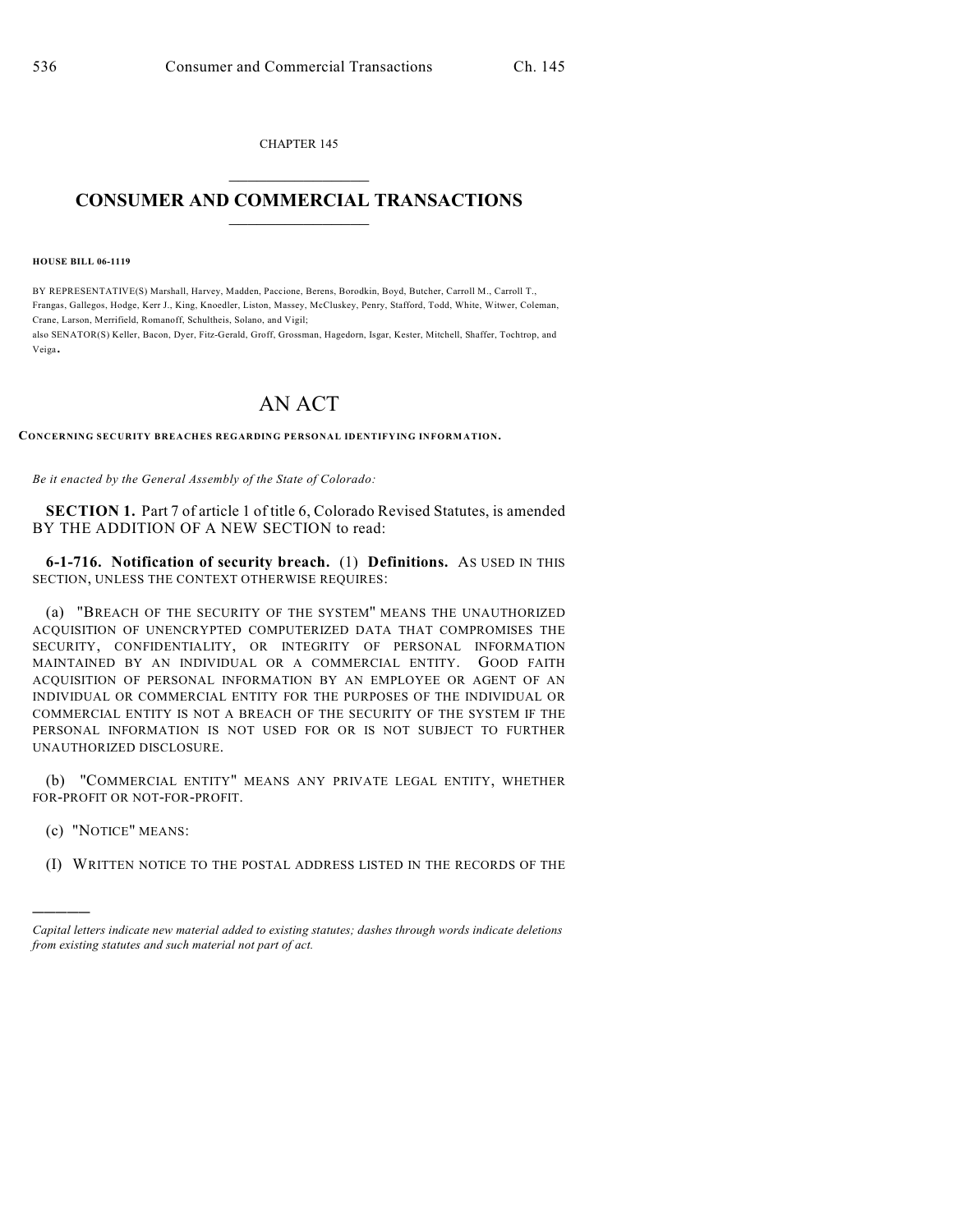CHAPTER 145  $\overline{\phantom{a}}$  . The set of the set of the set of the set of the set of the set of the set of the set of the set of the set of the set of the set of the set of the set of the set of the set of the set of the set of the set o

## **CONSUMER AND COMMERCIAL TRANSACTIONS**  $\frac{1}{2}$  ,  $\frac{1}{2}$  ,  $\frac{1}{2}$  ,  $\frac{1}{2}$  ,  $\frac{1}{2}$  ,  $\frac{1}{2}$

**HOUSE BILL 06-1119**

BY REPRESENTATIVE(S) Marshall, Harvey, Madden, Paccione, Berens, Borodkin, Boyd, Butcher, Carroll M., Carroll T., Frangas, Gallegos, Hodge, Kerr J., King, Knoedler, Liston, Massey, McCluskey, Penry, Stafford, Todd, White, Witwer, Coleman, Crane, Larson, Merrifield, Romanoff, Schultheis, Solano, and Vigil;

also SENATOR(S) Keller, Bacon, Dyer, Fitz-Gerald, Groff, Grossman, Hagedorn, Isgar, Kester, Mitchell, Shaffer, Tochtrop, and Veiga.

## AN ACT

**CONCERNING SECURITY BREACHES REGARDING PERSONAL IDENTIFYING INFORMATION.**

*Be it enacted by the General Assembly of the State of Colorado:*

**SECTION 1.** Part 7 of article 1 of title 6, Colorado Revised Statutes, is amended BY THE ADDITION OF A NEW SECTION to read:

**6-1-716. Notification of security breach.** (1) **Definitions.** AS USED IN THIS SECTION, UNLESS THE CONTEXT OTHERWISE REQUIRES:

(a) "BREACH OF THE SECURITY OF THE SYSTEM'' MEANS THE UNAUTHORIZED ACQUISITION OF UNENCRYPTED COMPUTERIZED DATA THAT COMPROMISES THE SECURITY, CONFIDENTIALITY, OR INTEGRITY OF PERSONAL INFORMATION MAINTAINED BY AN INDIVIDUAL OR A COMMERCIAL ENTITY. GOOD FAITH ACQUISITION OF PERSONAL INFORMATION BY AN EMPLOYEE OR AGENT OF AN INDIVIDUAL OR COMMERCIAL ENTITY FOR THE PURPOSES OF THE INDIVIDUAL OR COMMERCIAL ENTITY IS NOT A BREACH OF THE SECURITY OF THE SYSTEM IF THE PERSONAL INFORMATION IS NOT USED FOR OR IS NOT SUBJECT TO FURTHER UNAUTHORIZED DISCLOSURE.

(b) "COMMERCIAL ENTITY" MEANS ANY PRIVATE LEGAL ENTITY, WHETHER FOR-PROFIT OR NOT-FOR-PROFIT.

(c) "NOTICE" MEANS:

)))))

(I) WRITTEN NOTICE TO THE POSTAL ADDRESS LISTED IN THE RECORDS OF THE

*Capital letters indicate new material added to existing statutes; dashes through words indicate deletions from existing statutes and such material not part of act.*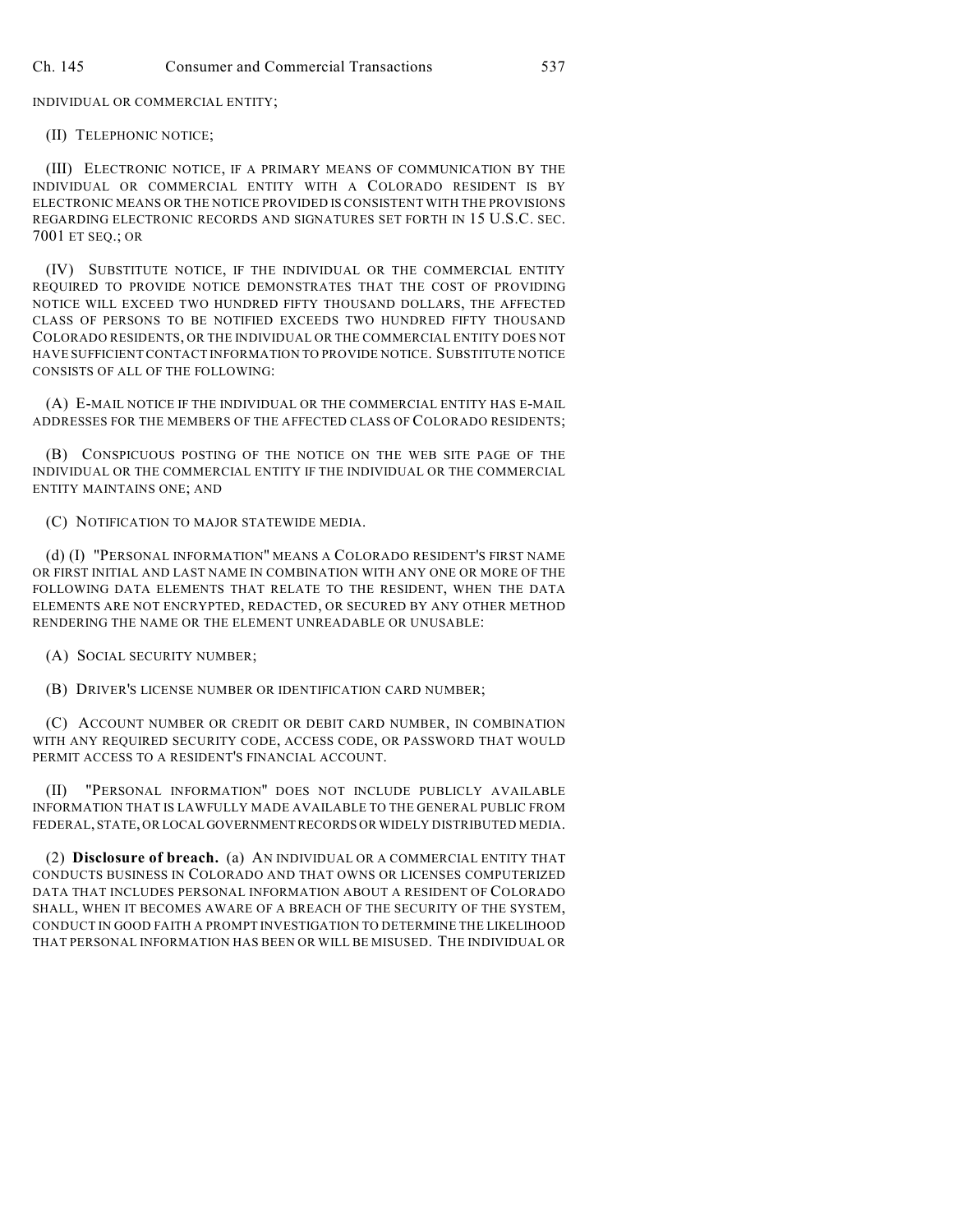INDIVIDUAL OR COMMERCIAL ENTITY;

(II) TELEPHONIC NOTICE;

(III) ELECTRONIC NOTICE, IF A PRIMARY MEANS OF COMMUNICATION BY THE INDIVIDUAL OR COMMERCIAL ENTITY WITH A COLORADO RESIDENT IS BY ELECTRONIC MEANS OR THE NOTICE PROVIDED IS CONSISTENT WITH THE PROVISIONS REGARDING ELECTRONIC RECORDS AND SIGNATURES SET FORTH IN 15 U.S.C. SEC. 7001 ET SEQ.; OR

(IV) SUBSTITUTE NOTICE, IF THE INDIVIDUAL OR THE COMMERCIAL ENTITY REQUIRED TO PROVIDE NOTICE DEMONSTRATES THAT THE COST OF PROVIDING NOTICE WILL EXCEED TWO HUNDRED FIFTY THOUSAND DOLLARS, THE AFFECTED CLASS OF PERSONS TO BE NOTIFIED EXCEEDS TWO HUNDRED FIFTY THOUSAND COLORADO RESIDENTS, OR THE INDIVIDUAL OR THE COMMERCIAL ENTITY DOES NOT HAVE SUFFICIENTCONTACT INFORMATION TO PROVIDE NOTICE. SUBSTITUTE NOTICE CONSISTS OF ALL OF THE FOLLOWING:

(A) E-MAIL NOTICE IF THE INDIVIDUAL OR THE COMMERCIAL ENTITY HAS E-MAIL ADDRESSES FOR THE MEMBERS OF THE AFFECTED CLASS OF COLORADO RESIDENTS;

(B) CONSPICUOUS POSTING OF THE NOTICE ON THE WEB SITE PAGE OF THE INDIVIDUAL OR THE COMMERCIAL ENTITY IF THE INDIVIDUAL OR THE COMMERCIAL ENTITY MAINTAINS ONE; AND

(C) NOTIFICATION TO MAJOR STATEWIDE MEDIA.

(d) (I) "PERSONAL INFORMATION'' MEANS A COLORADO RESIDENT'S FIRST NAME OR FIRST INITIAL AND LAST NAME IN COMBINATION WITH ANY ONE OR MORE OF THE FOLLOWING DATA ELEMENTS THAT RELATE TO THE RESIDENT, WHEN THE DATA ELEMENTS ARE NOT ENCRYPTED, REDACTED, OR SECURED BY ANY OTHER METHOD RENDERING THE NAME OR THE ELEMENT UNREADABLE OR UNUSABLE:

(A) SOCIAL SECURITY NUMBER;

(B) DRIVER'S LICENSE NUMBER OR IDENTIFICATION CARD NUMBER;

(C) ACCOUNT NUMBER OR CREDIT OR DEBIT CARD NUMBER, IN COMBINATION WITH ANY REQUIRED SECURITY CODE, ACCESS CODE, OR PASSWORD THAT WOULD PERMIT ACCESS TO A RESIDENT'S FINANCIAL ACCOUNT.

(II) "PERSONAL INFORMATION'' DOES NOT INCLUDE PUBLICLY AVAILABLE INFORMATION THAT IS LAWFULLY MADE AVAILABLE TO THE GENERAL PUBLIC FROM FEDERAL, STATE, OR LOCAL GOVERNMENT RECORDS OR WIDELY DISTRIBUTED MEDIA.

(2) **Disclosure of breach.** (a) AN INDIVIDUAL OR A COMMERCIAL ENTITY THAT CONDUCTS BUSINESS IN COLORADO AND THAT OWNS OR LICENSES COMPUTERIZED DATA THAT INCLUDES PERSONAL INFORMATION ABOUT A RESIDENT OF COLORADO SHALL, WHEN IT BECOMES AWARE OF A BREACH OF THE SECURITY OF THE SYSTEM, CONDUCT IN GOOD FAITH A PROMPT INVESTIGATION TO DETERMINE THE LIKELIHOOD THAT PERSONAL INFORMATION HAS BEEN OR WILL BE MISUSED. THE INDIVIDUAL OR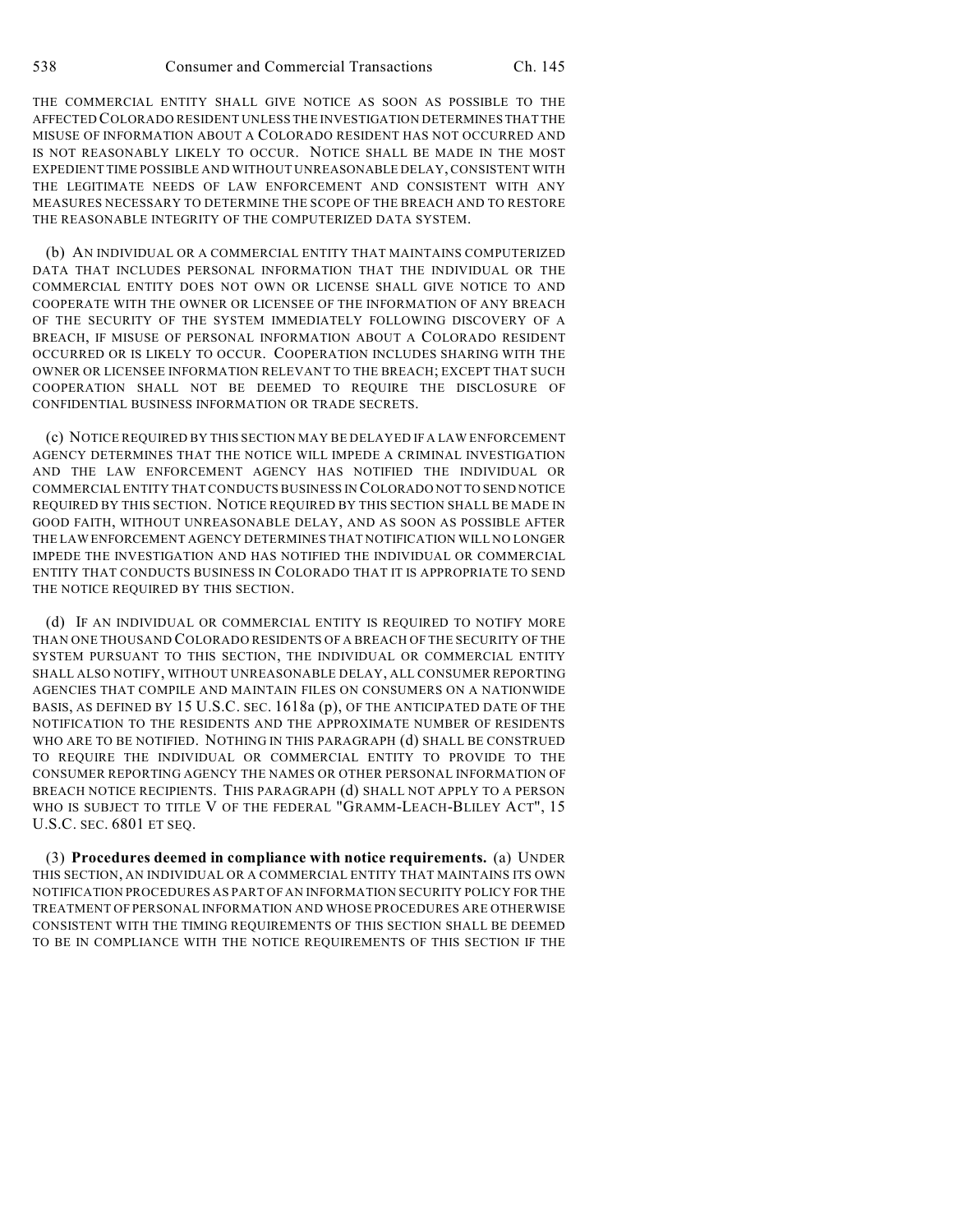THE COMMERCIAL ENTITY SHALL GIVE NOTICE AS SOON AS POSSIBLE TO THE AFFECTED COLORADO RESIDENT UNLESS THE INVESTIGATION DETERMINES THAT THE MISUSE OF INFORMATION ABOUT A COLORADO RESIDENT HAS NOT OCCURRED AND IS NOT REASONABLY LIKELY TO OCCUR. NOTICE SHALL BE MADE IN THE MOST EXPEDIENT TIME POSSIBLE AND WITHOUT UNREASONABLE DELAY, CONSISTENT WITH THE LEGITIMATE NEEDS OF LAW ENFORCEMENT AND CONSISTENT WITH ANY MEASURES NECESSARY TO DETERMINE THE SCOPE OF THE BREACH AND TO RESTORE THE REASONABLE INTEGRITY OF THE COMPUTERIZED DATA SYSTEM.

(b) AN INDIVIDUAL OR A COMMERCIAL ENTITY THAT MAINTAINS COMPUTERIZED DATA THAT INCLUDES PERSONAL INFORMATION THAT THE INDIVIDUAL OR THE COMMERCIAL ENTITY DOES NOT OWN OR LICENSE SHALL GIVE NOTICE TO AND COOPERATE WITH THE OWNER OR LICENSEE OF THE INFORMATION OF ANY BREACH OF THE SECURITY OF THE SYSTEM IMMEDIATELY FOLLOWING DISCOVERY OF A BREACH, IF MISUSE OF PERSONAL INFORMATION ABOUT A COLORADO RESIDENT OCCURRED OR IS LIKELY TO OCCUR. COOPERATION INCLUDES SHARING WITH THE OWNER OR LICENSEE INFORMATION RELEVANT TO THE BREACH; EXCEPT THAT SUCH COOPERATION SHALL NOT BE DEEMED TO REQUIRE THE DISCLOSURE OF CONFIDENTIAL BUSINESS INFORMATION OR TRADE SECRETS.

(c) NOTICE REQUIRED BY THIS SECTION MAY BE DELAYED IF A LAW ENFORCEMENT AGENCY DETERMINES THAT THE NOTICE WILL IMPEDE A CRIMINAL INVESTIGATION AND THE LAW ENFORCEMENT AGENCY HAS NOTIFIED THE INDIVIDUAL OR COMMERCIAL ENTITY THAT CONDUCTS BUSINESS IN COLORADO NOT TO SEND NOTICE REQUIRED BY THIS SECTION. NOTICE REQUIRED BY THIS SECTION SHALL BE MADE IN GOOD FAITH, WITHOUT UNREASONABLE DELAY, AND AS SOON AS POSSIBLE AFTER THE LAW ENFORCEMENT AGENCY DETERMINES THAT NOTIFICATION WILL NO LONGER IMPEDE THE INVESTIGATION AND HAS NOTIFIED THE INDIVIDUAL OR COMMERCIAL ENTITY THAT CONDUCTS BUSINESS IN COLORADO THAT IT IS APPROPRIATE TO SEND THE NOTICE REQUIRED BY THIS SECTION.

(d) IF AN INDIVIDUAL OR COMMERCIAL ENTITY IS REQUIRED TO NOTIFY MORE THAN ONE THOUSAND COLORADO RESIDENTS OF A BREACH OF THE SECURITY OF THE SYSTEM PURSUANT TO THIS SECTION, THE INDIVIDUAL OR COMMERCIAL ENTITY SHALL ALSO NOTIFY, WITHOUT UNREASONABLE DELAY, ALL CONSUMER REPORTING AGENCIES THAT COMPILE AND MAINTAIN FILES ON CONSUMERS ON A NATIONWIDE BASIS, AS DEFINED BY 15 U.S.C. SEC. 1618a (p), OF THE ANTICIPATED DATE OF THE NOTIFICATION TO THE RESIDENTS AND THE APPROXIMATE NUMBER OF RESIDENTS WHO ARE TO BE NOTIFIED. NOTHING IN THIS PARAGRAPH (d) SHALL BE CONSTRUED TO REQUIRE THE INDIVIDUAL OR COMMERCIAL ENTITY TO PROVIDE TO THE CONSUMER REPORTING AGENCY THE NAMES OR OTHER PERSONAL INFORMATION OF BREACH NOTICE RECIPIENTS. THIS PARAGRAPH (d) SHALL NOT APPLY TO A PERSON WHO IS SUBJECT TO TITLE V OF THE FEDERAL "GRAMM-LEACH-BLILEY ACT", 15 U.S.C. SEC. 6801 ET SEQ.

(3) **Procedures deemed in compliance with notice requirements.** (a) UNDER THIS SECTION, AN INDIVIDUAL OR A COMMERCIAL ENTITY THAT MAINTAINS ITS OWN NOTIFICATION PROCEDURES AS PART OF AN INFORMATION SECURITY POLICY FOR THE TREATMENT OF PERSONAL INFORMATION AND WHOSE PROCEDURES ARE OTHERWISE CONSISTENT WITH THE TIMING REQUIREMENTS OF THIS SECTION SHALL BE DEEMED TO BE IN COMPLIANCE WITH THE NOTICE REQUIREMENTS OF THIS SECTION IF THE